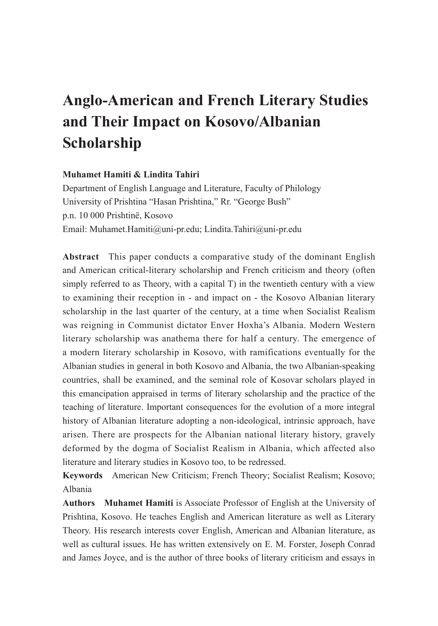# **Anglo-American and French Literary Studies and Their Impact on Kosovo/Albanian Scholarship**

## **Muhamet Hamiti & Lindita Tahiri**

Department of English Language and Literature, Faculty of Philology University of Prishtina "Hasan Prishtina," Rr. "George Bush" p.n. 10 000 Prishtinë, Kosovo Email: Muhamet.Hamiti@uni-pr.edu; Lindita.Tahiri@uni-pr.edu

**Abstract** This paper conducts a comparative study of the dominant English and American critical-literary scholarship and French criticism and theory (often simply referred to as Theory, with a capital T) in the twentieth century with a view to examining their reception in - and impact on - the Kosovo Albanian literary scholarship in the last quarter of the century, at a time when Socialist Realism was reigning in Communist dictator Enver Hoxha's Albania. Modern Western literary scholarship was anathema there for half a century. The emergence of a modern literary scholarship in Kosovo, with ramifications eventually for the Albanian studies in general in both Kosovo and Albania, the two Albanian-speaking countries, shall be examined, and the seminal role of Kosovar scholars played in this emancipation appraised in terms of literary scholarship and the practice of the teaching of literature. Important consequences for the evolution of a more integral history of Albanian literature adopting a non-ideological, intrinsic approach, have arisen. There are prospects for the Albanian national literary history, gravely deformed by the dogma of Socialist Realism in Albania, which affected also literature and literary studies in Kosovo too, to be redressed.

**Keywords** American New Criticism; French Theory; Socialist Realism; Kosovo; Albania

**Authors Muhamet Hamiti** is Associate Professor of English at the University of Prishtina, Kosovo. He teaches English and American literature as well as Literary Theory. His research interests cover English, American and Albanian literature, as well as cultural issues. He has written extensively on E. M. Forster, Joseph Conrad and James Joyce, and is the author of three books of literary criticism and essays in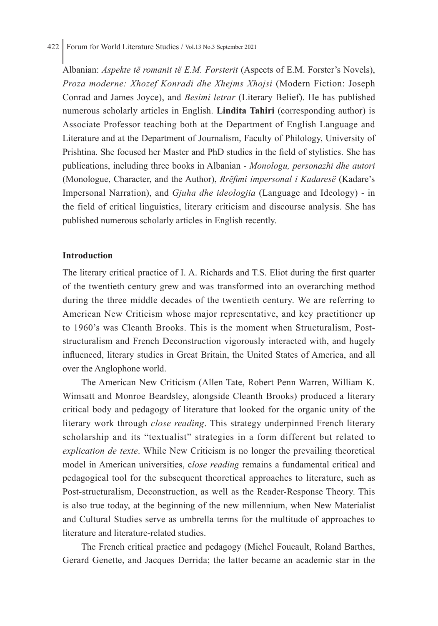## 422 Forum for World Literature Studies / Vol.13 No.3 September 2021

Albanian: *Aspekte të romanit të E.M. Forsterit* (Aspects of E.M. Forster's Novels), *Proza moderne: Xhozef Konradi dhe Xhejms Xhojsi* (Modern Fiction: Joseph Conrad and James Joyce), and *Besimi letrar* (Literary Belief). He has published numerous scholarly articles in English. **Lindita Tahiri** (corresponding author) is Associate Professor teaching both at the Department of English Language and Literature and at the Department of Journalism, Faculty of Philology, University of Prishtina. She focused her Master and PhD studies in the field of stylistics. She has publications, including three books in Albanian - *Monologu, personazhi dhe autori* (Monologue, Character, and the Author), *Rrëfimi impersonal i Kadaresë* (Kadare's Impersonal Narration), and *Gjuha dhe ideologjia* (Language and Ideology) - in the field of critical linguistics, literary criticism and discourse analysis. She has published numerous scholarly articles in English recently.

#### **Introduction**

The literary critical practice of I. A. Richards and T.S. Eliot during the first quarter of the twentieth century grew and was transformed into an overarching method during the three middle decades of the twentieth century. We are referring to American New Criticism whose major representative, and key practitioner up to 1960's was Cleanth Brooks. This is the moment when Structuralism, Poststructuralism and French Deconstruction vigorously interacted with, and hugely influenced, literary studies in Great Britain, the United States of America, and all over the Anglophone world.

The American New Criticism (Allen Tate, Robert Penn Warren, William K. Wimsatt and Monroe Beardsley, alongside Cleanth Brooks) produced a literary critical body and pedagogy of literature that looked for the organic unity of the literary work through *close reading*. This strategy underpinned French literary scholarship and its "textualist" strategies in a form different but related to *explication de texte*. While New Criticism is no longer the prevailing theoretical model in American universities, c*lose reading* remains a fundamental critical and pedagogical tool for the subsequent theoretical approaches to literature, such as Post-structuralism, Deconstruction, as well as the Reader-Response Theory. This is also true today, at the beginning of the new millennium, when New Materialist and Cultural Studies serve as umbrella terms for the multitude of approaches to literature and literature-related studies.

The French critical practice and pedagogy (Michel Foucault, Roland Barthes, Gerard Genette, and Jacques Derrida; the latter became an academic star in the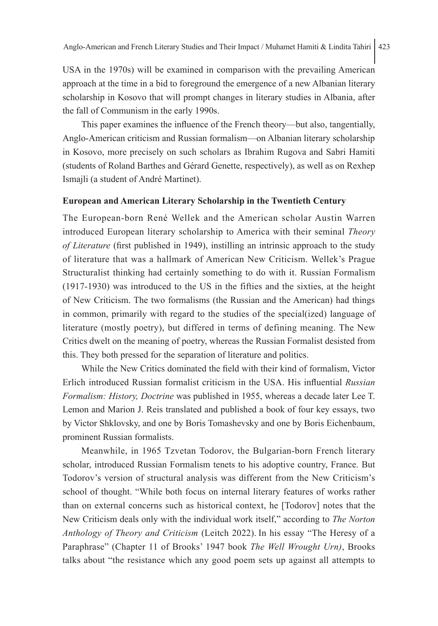USA in the 1970s) will be examined in comparison with the prevailing American approach at the time in a bid to foreground the emergence of a new Albanian literary scholarship in Kosovo that will prompt changes in literary studies in Albania, after the fall of Communism in the early 1990s.

This paper examines the influence of the French theory—but also, tangentially, Anglo-American criticism and Russian formalism—on Albanian literary scholarship in Kosovo, more precisely on such scholars as Ibrahim Rugova and Sabri Hamiti (students of Roland Barthes and Gérard Genette, respectively), as well as on Rexhep Ismajli (a student of André Martinet).

#### **European and American Literary Scholarship in the Twentieth Century**

The European-born René Wellek and the American scholar Austin Warren introduced European literary scholarship to America with their seminal *Theory of Literature* (first published in 1949), instilling an intrinsic approach to the study of literature that was a hallmark of American New Criticism. Wellek's Prague Structuralist thinking had certainly something to do with it. Russian Formalism (1917-1930) was introduced to the US in the fifties and the sixties, at the height of New Criticism. The two formalisms (the Russian and the American) had things in common, primarily with regard to the studies of the special(ized) language of literature (mostly poetry), but differed in terms of defining meaning. The New Critics dwelt on the meaning of poetry, whereas the Russian Formalist desisted from this. They both pressed for the separation of literature and politics.

While the New Critics dominated the field with their kind of formalism, Victor Erlich introduced Russian formalist criticism in the USA. His influential *Russian Formalism: History, Doctrine* was published in 1955, whereas a decade later Lee T. Lemon and Marion J. Reis translated and published a book of four key essays, two by Victor Shklovsky, and one by Boris Tomashevsky and one by Boris Eichenbaum, prominent Russian formalists.

Meanwhile, in 1965 Tzvetan Todorov, the Bulgarian-born French literary scholar, introduced Russian Formalism tenets to his adoptive country, France. But Todorov's version of structural analysis was different from the New Criticism's school of thought. "While both focus on internal literary features of works rather than on external concerns such as historical context, he [Todorov] notes that the New Criticism deals only with the individual work itself," according to *The Norton Anthology of Theory and Criticism* (Leitch 2022). In his essay "The Heresy of a Paraphrase" (Chapter 11 of Brooks' 1947 book *The Well Wrought Urn)*, Brooks talks about "the resistance which any good poem sets up against all attempts to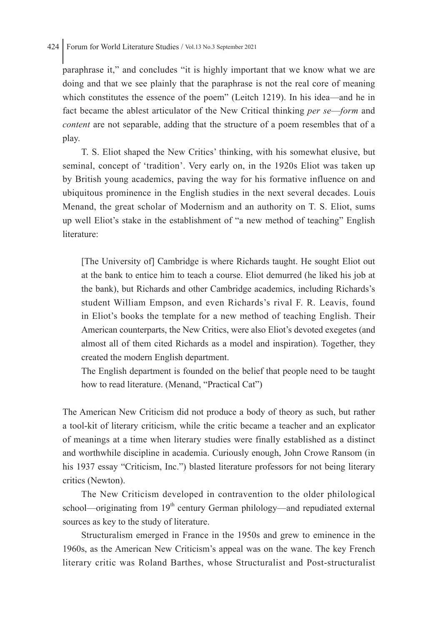#### 424 Forum for World Literature Studies / Vol.13 No.3 September 2021

paraphrase it," and concludes "it is highly important that we know what we are doing and that we see plainly that the paraphrase is not the real core of meaning which constitutes the essence of the poem" (Leitch 1219). In his idea—and he in fact became the ablest articulator of the New Critical thinking *per se*—*form* and *content* are not separable, adding that the structure of a poem resembles that of a play.

T. S. Eliot shaped the New Critics' thinking, with his somewhat elusive, but seminal, concept of 'tradition'. Very early on, in the 1920s Eliot was taken up by British young academics, paving the way for his formative influence on and ubiquitous prominence in the English studies in the next several decades. Louis Menand, the great scholar of Modernism and an authority on T. S. Eliot, sums up well Eliot's stake in the establishment of "a new method of teaching" English literature<sup>.</sup>

[The University of] Cambridge is where Richards taught. He sought Eliot out at the bank to entice him to teach a course. Eliot demurred (he liked his job at the bank), but Richards and other Cambridge academics, including Richards's student William Empson, and even Richards's rival F. R. Leavis, found in Eliot's books the template for a new method of teaching English. Their American counterparts, the New Critics, were also Eliot's devoted exegetes (and almost all of them cited Richards as a model and inspiration). Together, they created the modern English department.

The English department is founded on the belief that people need to be taught how to read literature. (Menand, "Practical Cat")

The American New Criticism did not produce a body of theory as such, but rather a tool-kit of literary criticism, while the critic became a teacher and an explicator of meanings at a time when literary studies were finally established as a distinct and worthwhile discipline in academia. Curiously enough, John Crowe Ransom (in his 1937 essay "Criticism, Inc.") blasted literature professors for not being literary critics (Newton).

The New Criticism developed in contravention to the older philological school—originating from  $19<sup>th</sup>$  century German philology—and repudiated external sources as key to the study of literature.

Structuralism emerged in France in the 1950s and grew to eminence in the 1960s, as the American New Criticism's appeal was on the wane. The key French literary critic was Roland Barthes, whose Structuralist and Post-structuralist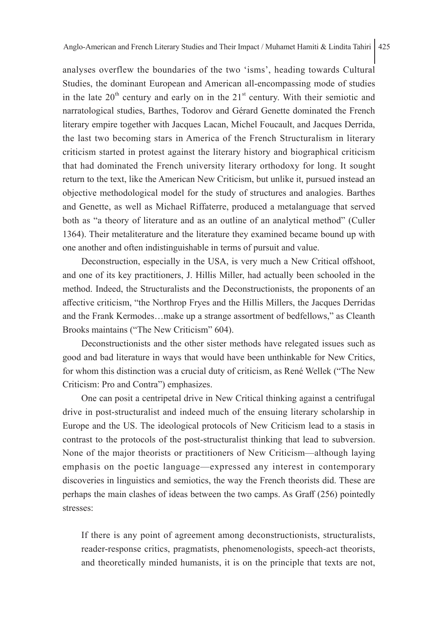analyses overflew the boundaries of the two 'isms', heading towards Cultural Studies, the dominant European and American all-encompassing mode of studies in the late  $20<sup>th</sup>$  century and early on in the  $21<sup>st</sup>$  century. With their semiotic and narratological studies, Barthes, Todorov and Gérard Genette dominated the French literary empire together with Jacques Lacan, Michel Foucault, and Jacques Derrida, the last two becoming stars in America of the French Structuralism in literary criticism started in protest against the literary history and biographical criticism that had dominated the French university literary orthodoxy for long. It sought return to the text, like the American New Criticism, but unlike it, pursued instead an objective methodological model for the study of structures and analogies. Barthes and Genette, as well as Michael Riffaterre, produced a metalanguage that served both as "a theory of literature and as an outline of an analytical method" (Culler 1364). Their metaliterature and the literature they examined became bound up with one another and often indistinguishable in terms of pursuit and value.

Deconstruction, especially in the USA, is very much a New Critical offshoot, and one of its key practitioners, J. Hillis Miller, had actually been schooled in the method. Indeed, the Structuralists and the Deconstructionists, the proponents of an affective criticism, "the Northrop Fryes and the Hillis Millers, the Jacques Derridas and the Frank Kermodes…make up a strange assortment of bedfellows," as Cleanth Brooks maintains ("The New Criticism" 604).

Deconstructionists and the other sister methods have relegated issues such as good and bad literature in ways that would have been unthinkable for New Critics, for whom this distinction was a crucial duty of criticism, as René Wellek ("The New Criticism: Pro and Contra") emphasizes.

One can posit a centripetal drive in New Critical thinking against a centrifugal drive in post-structuralist and indeed much of the ensuing literary scholarship in Europe and the US. The ideological protocols of New Criticism lead to a stasis in contrast to the protocols of the post-structuralist thinking that lead to subversion. None of the major theorists or practitioners of New Criticism—although laying emphasis on the poetic language—expressed any interest in contemporary discoveries in linguistics and semiotics, the way the French theorists did. These are perhaps the main clashes of ideas between the two camps. As Graff (256) pointedly stresses:

If there is any point of agreement among deconstructionists, structuralists, reader-response critics, pragmatists, phenomenologists, speech-act theorists, and theoretically minded humanists, it is on the principle that texts are not,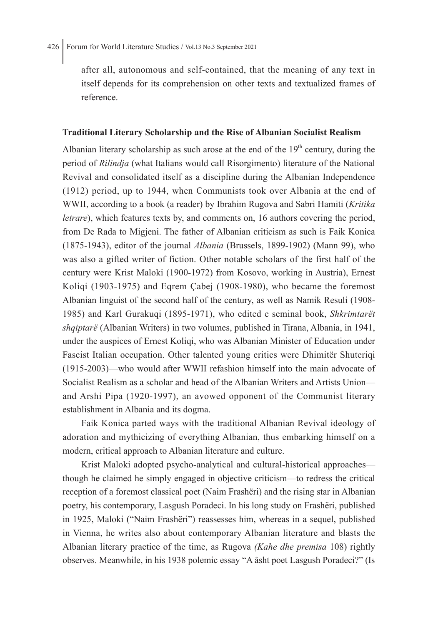after all, autonomous and self-contained, that the meaning of any text in itself depends for its comprehension on other texts and textualized frames of reference.

## **Traditional Literary Scholarship and the Rise of Albanian Socialist Realism**

Albanian literary scholarship as such arose at the end of the  $19<sup>th</sup>$  century, during the period of *Rilindja* (what Italians would call Risorgimento) literature of the National Revival and consolidated itself as a discipline during the Albanian Independence (1912) period, up to 1944, when Communists took over Albania at the end of WWII, according to a book (a reader) by Ibrahim Rugova and Sabri Hamiti (*Kritika letrare*), which features texts by, and comments on, 16 authors covering the period, from De Rada to Migjeni. The father of Albanian criticism as such is Faik Konica (1875-1943), editor of the journal *Albania* (Brussels, 1899-1902) (Mann 99), who was also a gifted writer of fiction. Other notable scholars of the first half of the century were Krist Maloki (1900-1972) from Kosovo, working in Austria), Ernest Koliqi (1903-1975) and Eqrem Çabej (1908-1980), who became the foremost Albanian linguist of the second half of the century, as well as Namik Resuli (1908- 1985) and Karl Gurakuqi (1895-1971), who edited e seminal book, *Shkrimtarët shqiptarë* (Albanian Writers) in two volumes, published in Tirana, Albania, in 1941, under the auspices of Ernest Koliqi, who was Albanian Minister of Education under Fascist Italian occupation. Other talented young critics were Dhimitër Shuteriqi (1915-2003)—who would after WWII refashion himself into the main advocate of Socialist Realism as a scholar and head of the Albanian Writers and Artists Union and Arshi Pipa (1920-1997), an avowed opponent of the Communist literary establishment in Albania and its dogma.

Faik Konica parted ways with the traditional Albanian Revival ideology of adoration and mythicizing of everything Albanian, thus embarking himself on a modern, critical approach to Albanian literature and culture.

Krist Maloki adopted psycho-analytical and cultural-historical approaches though he claimed he simply engaged in objective criticism—to redress the critical reception of a foremost classical poet (Naim Frashëri) and the rising star in Albanian poetry, his contemporary, Lasgush Poradeci. In his long study on Frashëri, published in 1925, Maloki ("Naim Frashëri") reassesses him, whereas in a sequel, published in Vienna, he writes also about contemporary Albanian literature and blasts the Albanian literary practice of the time, as Rugova *(Kahe dhe premisa* 108) rightly observes. Meanwhile, in his 1938 polemic essay "A âsht poet Lasgush Poradeci?" (Is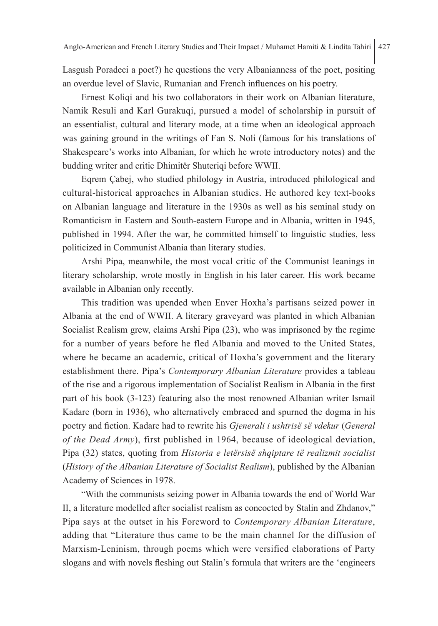Lasgush Poradeci a poet?) he questions the very Albanianness of the poet, positing an overdue level of Slavic, Rumanian and French influences on his poetry.

Ernest Koliqi and his two collaborators in their work on Albanian literature, Namik Resuli and Karl Gurakuqi, pursued a model of scholarship in pursuit of an essentialist, cultural and literary mode, at a time when an ideological approach was gaining ground in the writings of Fan S. Noli (famous for his translations of Shakespeare's works into Albanian, for which he wrote introductory notes) and the budding writer and critic Dhimitër Shuteriqi before WWII.

Eqrem Çabej, who studied philology in Austria, introduced philological and cultural-historical approaches in Albanian studies. He authored key text-books on Albanian language and literature in the 1930s as well as his seminal study on Romanticism in Eastern and South-eastern Europe and in Albania, written in 1945, published in 1994. After the war, he committed himself to linguistic studies, less politicized in Communist Albania than literary studies.

Arshi Pipa, meanwhile, the most vocal critic of the Communist leanings in literary scholarship, wrote mostly in English in his later career. His work became available in Albanian only recently.

This tradition was upended when Enver Hoxha's partisans seized power in Albania at the end of WWII. A literary graveyard was planted in which Albanian Socialist Realism grew, claims Arshi Pipa (23), who was imprisoned by the regime for a number of years before he fled Albania and moved to the United States, where he became an academic, critical of Hoxha's government and the literary establishment there. Pipa's *Contemporary Albanian Literature* provides a tableau of the rise and a rigorous implementation of Socialist Realism in Albania in the first part of his book (3-123) featuring also the most renowned Albanian writer Ismail Kadare (born in 1936), who alternatively embraced and spurned the dogma in his poetry and fiction. Kadare had to rewrite his *Gjenerali i ushtrisë së vdekur* (*General of the Dead Army*), first published in 1964, because of ideological deviation, Pipa (32) states, quoting from *Historia e letërsisë shqiptare të realizmit socialist* (*History of the Albanian Literature of Socialist Realism*), published by the Albanian Academy of Sciences in 1978.

"With the communists seizing power in Albania towards the end of World War II, a literature modelled after socialist realism as concocted by Stalin and Zhdanov," Pipa says at the outset in his Foreword to *Contemporary Albanian Literature*, adding that "Literature thus came to be the main channel for the diffusion of Marxism-Leninism, through poems which were versified elaborations of Party slogans and with novels fleshing out Stalin's formula that writers are the 'engineers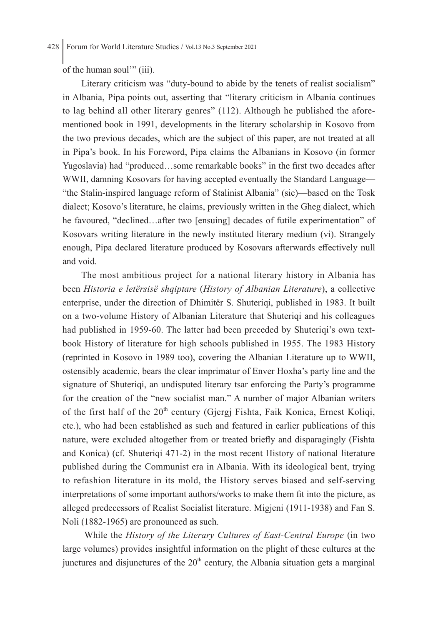of the human soul'" (iii).

Literary criticism was "duty-bound to abide by the tenets of realist socialism" in Albania, Pipa points out, asserting that "literary criticism in Albania continues to lag behind all other literary genres" (112). Although he published the aforementioned book in 1991, developments in the literary scholarship in Kosovo from the two previous decades, which are the subject of this paper, are not treated at all in Pipa's book. In his Foreword, Pipa claims the Albanians in Kosovo (in former Yugoslavia) had "produced…some remarkable books" in the first two decades after WWII, damning Kosovars for having accepted eventually the Standard Language— "the Stalin-inspired language reform of Stalinist Albania" (sic)—based on the Tosk dialect; Kosovo's literature, he claims, previously written in the Gheg dialect, which he favoured, "declined…after two [ensuing] decades of futile experimentation" of Kosovars writing literature in the newly instituted literary medium (vi). Strangely enough, Pipa declared literature produced by Kosovars afterwards effectively null and void.

The most ambitious project for a national literary history in Albania has been *Historia e letërsisë shqiptare* (*History of Albanian Literature*), a collective enterprise, under the direction of Dhimitër S. Shuteriqi, published in 1983. It built on a two-volume History of Albanian Literature that Shuteriqi and his colleagues had published in 1959-60. The latter had been preceded by Shuteriqi's own textbook History of literature for high schools published in 1955. The 1983 History (reprinted in Kosovo in 1989 too), covering the Albanian Literature up to WWII, ostensibly academic, bears the clear imprimatur of Enver Hoxha's party line and the signature of Shuteriqi, an undisputed literary tsar enforcing the Party's programme for the creation of the "new socialist man." A number of major Albanian writers of the first half of the  $20<sup>th</sup>$  century (Gjergj Fishta, Faik Konica, Ernest Koliqi, etc.), who had been established as such and featured in earlier publications of this nature, were excluded altogether from or treated briefly and disparagingly (Fishta and Konica) (cf. Shuteriqi 471-2) in the most recent History of national literature published during the Communist era in Albania. With its ideological bent, trying to refashion literature in its mold, the History serves biased and self-serving interpretations of some important authors/works to make them fit into the picture, as alleged predecessors of Realist Socialist literature. Migjeni (1911-1938) and Fan S. Noli (1882-1965) are pronounced as such.

 While the *History of the Literary Cultures of East-Central Europe* (in two large volumes) provides insightful information on the plight of these cultures at the junctures and disjunctures of the  $20<sup>th</sup>$  century, the Albania situation gets a marginal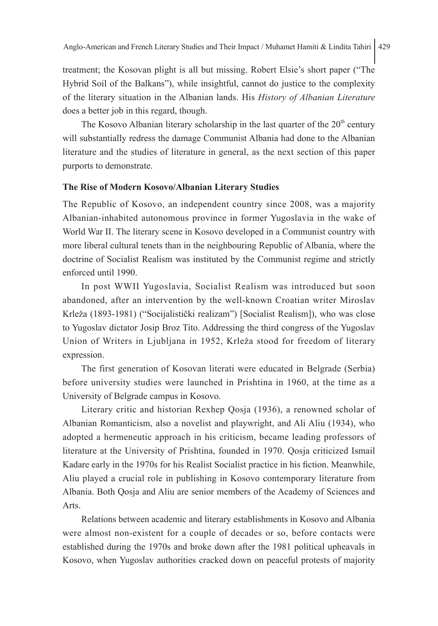treatment; the Kosovan plight is all but missing. Robert Elsie's short paper ("The Hybrid Soil of the Balkans"), while insightful, cannot do justice to the complexity of the literary situation in the Albanian lands. His *History of Albanian Literature* does a better job in this regard, though.

The Kosovo Albanian literary scholarship in the last quarter of the  $20<sup>th</sup>$  century will substantially redress the damage Communist Albania had done to the Albanian literature and the studies of literature in general, as the next section of this paper purports to demonstrate.

#### **The Rise of Modern Kosovo/Albanian Literary Studies**

The Republic of Kosovo, an independent country since 2008, was a majority Albanian-inhabited autonomous province in former Yugoslavia in the wake of World War II. The literary scene in Kosovo developed in a Communist country with more liberal cultural tenets than in the neighbouring Republic of Albania, where the doctrine of Socialist Realism was instituted by the Communist regime and strictly enforced until 1990.

In post WWII Yugoslavia, Socialist Realism was introduced but soon abandoned, after an intervention by the well-known Croatian writer Miroslav Krleža (1893-1981) ("Socijalistički realizam") [Socialist Realism]), who was close to Yugoslav dictator Josip Broz Tito. Addressing the third congress of the Yugoslav Union of Writers in Ljubljana in 1952, Krleža stood for freedom of literary expression.

The first generation of Kosovan literati were educated in Belgrade (Serbia) before university studies were launched in Prishtina in 1960, at the time as a University of Belgrade campus in Kosovo.

Literary critic and historian Rexhep Qosja (1936), a renowned scholar of Albanian Romanticism, also a novelist and playwright, and Ali Aliu (1934), who adopted a hermeneutic approach in his criticism, became leading professors of literature at the University of Prishtina, founded in 1970. Qosja criticized Ismail Kadare early in the 1970s for his Realist Socialist practice in his fiction. Meanwhile, Aliu played a crucial role in publishing in Kosovo contemporary literature from Albania. Both Qosja and Aliu are senior members of the Academy of Sciences and Arts.

Relations between academic and literary establishments in Kosovo and Albania were almost non-existent for a couple of decades or so, before contacts were established during the 1970s and broke down after the 1981 political upheavals in Kosovo, when Yugoslav authorities cracked down on peaceful protests of majority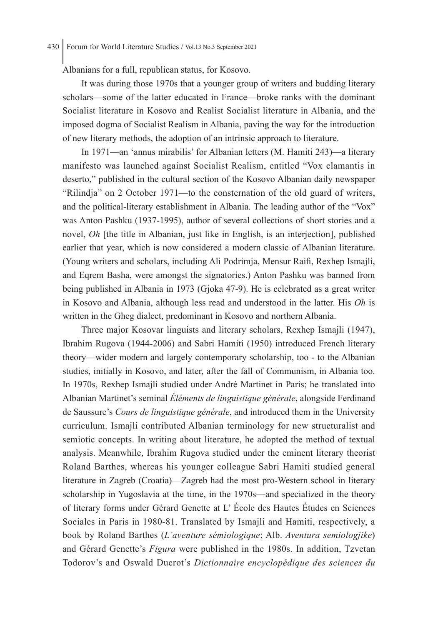Albanians for a full, republican status, for Kosovo.

It was during those 1970s that a younger group of writers and budding literary scholars—some of the latter educated in France—broke ranks with the dominant Socialist literature in Kosovo and Realist Socialist literature in Albania, and the imposed dogma of Socialist Realism in Albania, paving the way for the introduction of new literary methods, the adoption of an intrinsic approach to literature.

In 1971—an 'annus mirabilis' for Albanian letters (M. Hamiti 243)—a literary manifesto was launched against Socialist Realism, entitled "Vox clamantis in deserto," published in the cultural section of the Kosovo Albanian daily newspaper "Rilindja" on 2 October 1971—to the consternation of the old guard of writers, and the political-literary establishment in Albania. The leading author of the "Vox" was Anton Pashku (1937-1995), author of several collections of short stories and a novel, *Oh* [the title in Albanian, just like in English, is an interjection], published earlier that year, which is now considered a modern classic of Albanian literature. (Young writers and scholars, including Ali Podrimja, Mensur Raifi, Rexhep Ismajli, and Eqrem Basha, were amongst the signatories.) Anton Pashku was banned from being published in Albania in 1973 (Gjoka 47-9). He is celebrated as a great writer in Kosovo and Albania, although less read and understood in the latter. His *Oh* is written in the Gheg dialect, predominant in Kosovo and northern Albania.

Three major Kosovar linguists and literary scholars, Rexhep Ismajli (1947), Ibrahim Rugova (1944-2006) and Sabri Hamiti (1950) introduced French literary theory—wider modern and largely contemporary scholarship, too - to the Albanian studies, initially in Kosovo, and later, after the fall of Communism, in Albania too. In 1970s, Rexhep Ismajli studied under André Martinet in Paris; he translated into Albanian Martinet's seminal *Éléments de linguistique générale*, alongside Ferdinand de Saussure's *Cours de linguistique générale*, and introduced them in the University curriculum. Ismajli contributed Albanian terminology for new structuralist and semiotic concepts. In writing about literature, he adopted the method of textual analysis. Meanwhile, Ibrahim Rugova studied under the eminent literary theorist Roland Barthes, whereas his younger colleague Sabri Hamiti studied general literature in Zagreb (Croatia)—Zagreb had the most pro-Western school in literary scholarship in Yugoslavia at the time, in the 1970s—and specialized in the theory of literary forms under Gérard Genette at L' École des Hautes Études en Sciences Sociales in Paris in 1980-81. Translated by Ismajli and Hamiti, respectively, a book by Roland Barthes (*L'aventure sémiologique*; Alb. *Aventura semiologjike*) and Gérard Genette's *Figura* were published in the 1980s. In addition, Tzvetan Todorov's and Oswald Ducrot's *Dictionnaire encyclopédique des sciences du*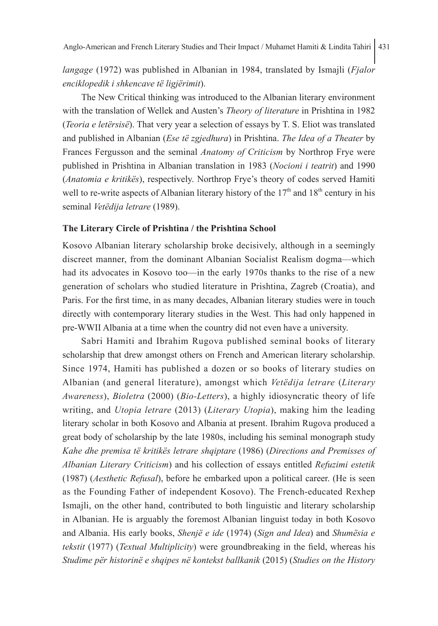*langage* (1972) was published in Albanian in 1984, translated by Ismajli (*Fjalor enciklopedik i shkencave të ligjërimit*).

The New Critical thinking was introduced to the Albanian literary environment with the translation of Wellek and Austen's *Theory of literature* in Prishtina in 1982 (*Teoria e letërsisë*). That very year a selection of essays by T. S. Eliot was translated and published in Albanian (*Ese të zgjedhura*) in Prishtina. *The Idea of a Theater* by Frances Fergusson and the seminal *Anatomy of Criticism* by Northrop Frye were published in Prishtina in Albanian translation in 1983 (*Nocioni i teatrit*) and 1990 (*Anatomia e kritikës*), respectively. Northrop Frye's theory of codes served Hamiti well to re-write aspects of Albanian literary history of the  $17<sup>th</sup>$  and  $18<sup>th</sup>$  century in his seminal *Vetëdija letrare* (1989).

#### **The Literary Circle of Prishtina / the Prishtina School**

Kosovo Albanian literary scholarship broke decisively, although in a seemingly discreet manner, from the dominant Albanian Socialist Realism dogma—which had its advocates in Kosovo too—in the early 1970s thanks to the rise of a new generation of scholars who studied literature in Prishtina, Zagreb (Croatia), and Paris. For the first time, in as many decades, Albanian literary studies were in touch directly with contemporary literary studies in the West. This had only happened in pre-WWII Albania at a time when the country did not even have a university.

Sabri Hamiti and Ibrahim Rugova published seminal books of literary scholarship that drew amongst others on French and American literary scholarship. Since 1974, Hamiti has published a dozen or so books of literary studies on Albanian (and general literature), amongst which *Vetëdija letrare* (*Literary Awareness*), *Bioletra* (2000) (*Bio-Letters*), a highly idiosyncratic theory of life writing, and *Utopia letrare* (2013) (*Literary Utopia*), making him the leading literary scholar in both Kosovo and Albania at present. Ibrahim Rugova produced a great body of scholarship by the late 1980s, including his seminal monograph study *Kahe dhe premisa të kritikës letrare shqiptare* (1986) (*Directions and Premisses of Albanian Literary Criticism*) and his collection of essays entitled *Refuzimi estetik* (1987) (*Aesthetic Refusal*), before he embarked upon a political career. (He is seen as the Founding Father of independent Kosovo). The French-educated Rexhep Ismajli, on the other hand, contributed to both linguistic and literary scholarship in Albanian. He is arguably the foremost Albanian linguist today in both Kosovo and Albania. His early books, *Shenjë e ide* (1974) (*Sign and Idea*) and *Shumësia e tekstit* (1977) (*Textual Multiplicity*) were groundbreaking in the field, whereas his *Studime për historinë e shqipes në kontekst ballkanik* (2015) (*Studies on the History*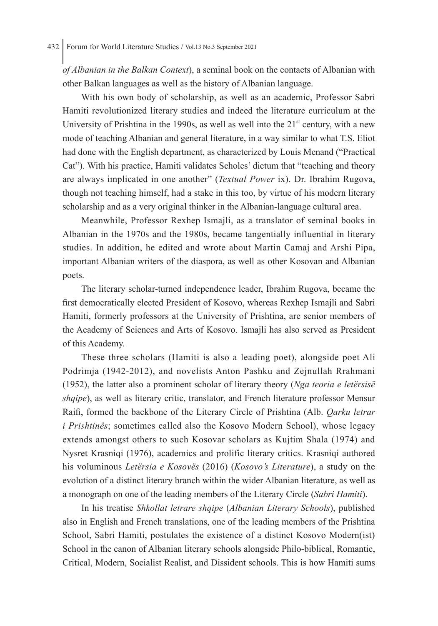*of Albanian in the Balkan Context*), a seminal book on the contacts of Albanian with other Balkan languages as well as the history of Albanian language.

With his own body of scholarship, as well as an academic, Professor Sabri Hamiti revolutionized literary studies and indeed the literature curriculum at the University of Prishtina in the 1990s, as well as well into the  $21<sup>st</sup>$  century, with a new mode of teaching Albanian and general literature, in a way similar to what T.S. Eliot had done with the English department, as characterized by Louis Menand ("Practical Cat"). With his practice, Hamiti validates Scholes' dictum that "teaching and theory are always implicated in one another" (*Textual Power* ix). Dr. Ibrahim Rugova, though not teaching himself, had a stake in this too, by virtue of his modern literary scholarship and as a very original thinker in the Albanian-language cultural area.

Meanwhile, Professor Rexhep Ismajli, as a translator of seminal books in Albanian in the 1970s and the 1980s, became tangentially influential in literary studies. In addition, he edited and wrote about Martin Camaj and Arshi Pipa, important Albanian writers of the diaspora, as well as other Kosovan and Albanian poets.

The literary scholar-turned independence leader, Ibrahim Rugova, became the first democratically elected President of Kosovo, whereas Rexhep Ismajli and Sabri Hamiti, formerly professors at the University of Prishtina, are senior members of the Academy of Sciences and Arts of Kosovo. Ismajli has also served as President of this Academy.

These three scholars (Hamiti is also a leading poet), alongside poet Ali Podrimja (1942-2012), and novelists Anton Pashku and Zejnullah Rrahmani (1952), the latter also a prominent scholar of literary theory (*Nga teoria e letërsisë shqipe*), as well as literary critic, translator, and French literature professor Mensur Raifi, formed the backbone of the Literary Circle of Prishtina (Alb. *Qarku letrar i Prishtinës*; sometimes called also the Kosovo Modern School), whose legacy extends amongst others to such Kosovar scholars as Kujtim Shala (1974) and Nysret Krasniqi (1976), academics and prolific literary critics. Krasniqi authored his voluminous *Letërsia e Kosovës* (2016) (*Kosovo's Literature*), a study on the evolution of a distinct literary branch within the wider Albanian literature, as well as a monograph on one of the leading members of the Literary Circle (*Sabri Hamiti*).

In his treatise *Shkollat letrare shqipe* (*Albanian Literary Schools*), published also in English and French translations, one of the leading members of the Prishtina School, Sabri Hamiti, postulates the existence of a distinct Kosovo Modern(ist) School in the canon of Albanian literary schools alongside Philo-biblical, Romantic, Critical, Modern, Socialist Realist, and Dissident schools. This is how Hamiti sums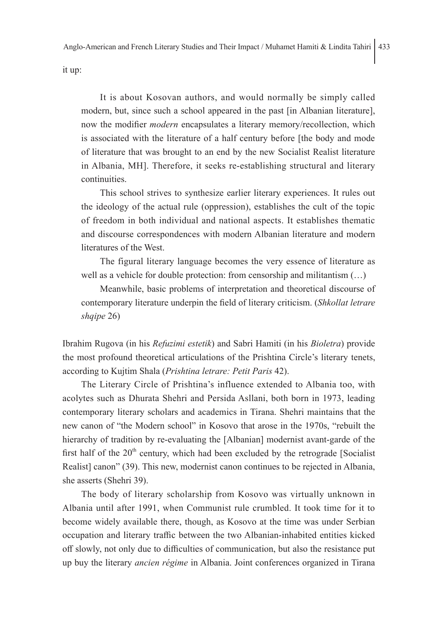Anglo-American and French Literary Studies and Their Impact / Muhamet Hamiti & Lindita Tahiri 433

it up:

It is about Kosovan authors, and would normally be simply called modern, but, since such a school appeared in the past [in Albanian literature], now the modifier *modern* encapsulates a literary memory/recollection, which is associated with the literature of a half century before [the body and mode of literature that was brought to an end by the new Socialist Realist literature in Albania, MH]. Therefore, it seeks re-establishing structural and literary continuities.

This school strives to synthesize earlier literary experiences. It rules out the ideology of the actual rule (oppression), establishes the cult of the topic of freedom in both individual and national aspects. It establishes thematic and discourse correspondences with modern Albanian literature and modern literatures of the West.

The figural literary language becomes the very essence of literature as well as a vehicle for double protection: from censorship and militantism (…)

Meanwhile, basic problems of interpretation and theoretical discourse of contemporary literature underpin the field of literary criticism. (*Shkollat letrare shqipe* 26)

Ibrahim Rugova (in his *Refuzimi estetik*) and Sabri Hamiti (in his *Bioletra*) provide the most profound theoretical articulations of the Prishtina Circle's literary tenets, according to Kujtim Shala (*Prishtina letrare: Petit Paris* 42).

The Literary Circle of Prishtina's influence extended to Albania too, with acolytes such as Dhurata Shehri and Persida Asllani, both born in 1973, leading contemporary literary scholars and academics in Tirana. Shehri maintains that the new canon of "the Modern school" in Kosovo that arose in the 1970s, "rebuilt the hierarchy of tradition by re-evaluating the [Albanian] modernist avant-garde of the first half of the  $20<sup>th</sup>$  century, which had been excluded by the retrograde [Socialist Realist] canon" (39). This new, modernist canon continues to be rejected in Albania, she asserts (Shehri 39).

The body of literary scholarship from Kosovo was virtually unknown in Albania until after 1991, when Communist rule crumbled. It took time for it to become widely available there, though, as Kosovo at the time was under Serbian occupation and literary traffic between the two Albanian-inhabited entities kicked off slowly, not only due to difficulties of communication, but also the resistance put up buy the literary *ancien régime* in Albania. Joint conferences organized in Tirana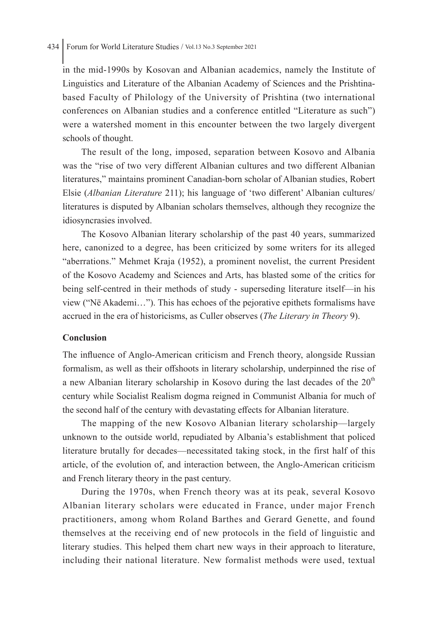## 434 Forum for World Literature Studies / Vol.13 No.3 September 2021

in the mid-1990s by Kosovan and Albanian academics, namely the Institute of Linguistics and Literature of the Albanian Academy of Sciences and the Prishtinabased Faculty of Philology of the University of Prishtina (two international conferences on Albanian studies and a conference entitled "Literature as such") were a watershed moment in this encounter between the two largely divergent schools of thought.

The result of the long, imposed, separation between Kosovo and Albania was the "rise of two very different Albanian cultures and two different Albanian literatures," maintains prominent Canadian-born scholar of Albanian studies, Robert Elsie (*Albanian Literature* 211); his language of 'two different' Albanian cultures/ literatures is disputed by Albanian scholars themselves, although they recognize the idiosyncrasies involved.

The Kosovo Albanian literary scholarship of the past 40 years, summarized here, canonized to a degree, has been criticized by some writers for its alleged "aberrations." Mehmet Kraja (1952), a prominent novelist, the current President of the Kosovo Academy and Sciences and Arts, has blasted some of the critics for being self-centred in their methods of study - superseding literature itself—in his view ("Në Akademi…"). This has echoes of the pejorative epithets formalisms have accrued in the era of historicisms, as Culler observes (*The Literary in Theory* 9).

#### **Conclusion**

The influence of Anglo-American criticism and French theory, alongside Russian formalism, as well as their offshoots in literary scholarship, underpinned the rise of a new Albanian literary scholarship in Kosovo during the last decades of the  $20<sup>th</sup>$ century while Socialist Realism dogma reigned in Communist Albania for much of the second half of the century with devastating effects for Albanian literature.

The mapping of the new Kosovo Albanian literary scholarship—largely unknown to the outside world, repudiated by Albania's establishment that policed literature brutally for decades—necessitated taking stock, in the first half of this article, of the evolution of, and interaction between, the Anglo-American criticism and French literary theory in the past century.

During the 1970s, when French theory was at its peak, several Kosovo Albanian literary scholars were educated in France, under major French practitioners, among whom Roland Barthes and Gerard Genette, and found themselves at the receiving end of new protocols in the field of linguistic and literary studies. This helped them chart new ways in their approach to literature, including their national literature. New formalist methods were used, textual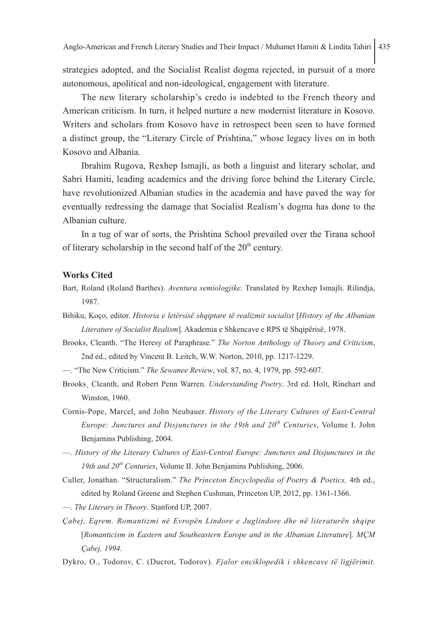strategies adopted, and the Socialist Realist dogma rejected, in pursuit of a more autonomous, apolitical and non-ideological, engagement with literature.

The new literary scholarship's credo is indebted to the French theory and American criticism. In turn, it helped nurture a new modernist literature in Kosovo. Writers and scholars from Kosovo have in retrospect been seen to have formed a distinct group, the "Literary Circle of Prishtina," whose legacy lives on in both Kosovo and Albania.

Ibrahim Rugova, Rexhep Ismajli, as both a linguist and literary scholar, and Sabri Hamiti, leading academics and the driving force behind the Literary Circle, have revolutionized Albanian studies in the academia and have paved the way for eventually redressing the damage that Socialist Realism's dogma has done to the Albanian culture.

In a tug of war of sorts, the Prishtina School prevailed over the Tirana school of literary scholarship in the second half of the 20<sup>th</sup> century.

#### **Works Cited**

- Bart, Roland (Roland Barthes). *Aventura semiologjike*. Translated by Rexhep Ismajli. Rilindja, 1987.
- Bihiku, Koço, editor. *Historia e letërsisë shqiptare të realizmit socialist* [*History of the Albanian Literature of Socialist Realism*]. Akademia e Shkencave e RPS të Shqipërisë, 1978.
- Brooks, Cleanth. "The Heresy of Paraphrase." *The Norton Anthology of Theory and Criticism*, 2nd ed., edited by Vincent B. Leitch, W.W. Norton, 2010, pp. 1217-1229.
- —. "The New Criticism." *The Sewanee Review*, vol. 87, no. 4, 1979, pp. 592-607.
- Brooks¸ Cleanth, and Robert Penn Warren. *Understanding Poetry*. 3rd ed. Holt, Rinehart and Winston, 1960.
- Cornis-Pope, Marcel, and John Neubauer. *History of the Literary Cultures of East-Central Europe: Junctures and Disjunctures in the 19th and 20th Centuries*, Volume I. John Benjamins Publishing, 2004.
- —. *History of the Literary Cultures of East-Central Europe: Junctures and Disjunctures in the 19th and 20th Centuries*, Volume II. John Benjamins Publishing, 2006.
- Culler, Jonathan. "Structuralism." *The Princeton Encyclopedia of Poetry & Poetics,* 4th ed., edited by Roland Greene and Stephen Cushman, Princeton UP, 2012, pp. 1361-1366.
- —. *The Literary in Theory*. Stanford UP, 2007.
- *Çabej, Eqrem. Romantizmi në Evropën Lindore e Juglindore dhe në literaturën shqipe* [*Romanticism in Eastern and Southeastern Europe and in the Albanian Literature*]*. MÇM Çabej, 1994.*
- Dykro, O., Todorov, C. (Ducrot, Todorov). *Fjalor enciklopedik i shkencave të ligjërimit.*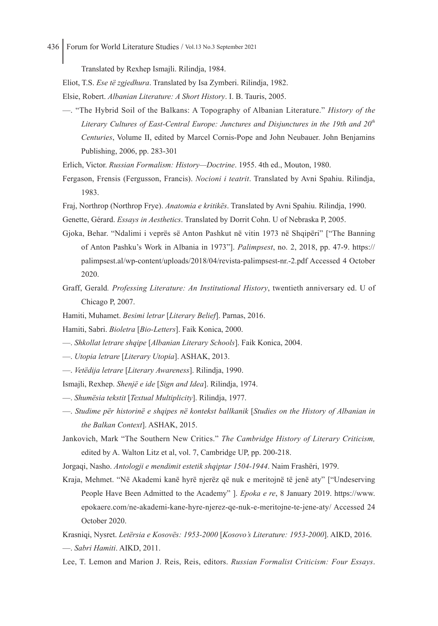Translated by Rexhep Ismajli. Rilindja, 1984.

Eliot, T.S. *Ese të zgjedhura*. Translated by Isa Zymberi. Rilindja, 1982.

- Elsie, Robert. *Albanian Literature: A Short History*. I. B. Tauris, 2005.
- —. "The Hybrid Soil of the Balkans: A Topography of Albanian Literature." *History of the*  Literary Cultures of East-Central Europe: Junctures and Disjunctures in the 19th and 20<sup>th</sup> *Centuries*, Volume II, edited by Marcel Cornis-Pope and John Neubauer. John Benjamins Publishing, 2006, pp. 283-301

Erlich, Victor. *Russian Formalism: History—Doctrine*. 1955. 4th ed., Mouton, 1980.

- Fergason, Frensis (Fergusson, Francis). *Nocioni i teatrit*. Translated by Avni Spahiu. Rilindja, 1983.
- Fraj, Northrop (Northrop Frye). *Anatomia e kritikës*. Translated by Avni Spahiu. Rilindja, 1990.

Genette, Gérard. *Essays in Aesthetics*. Translated by Dorrit Cohn. U of Nebraska P, 2005.

- Gjoka, Behar. "Ndalimi i veprës së Anton Pashkut në vitin 1973 në Shqipëri" ["The Banning of Anton Pashku's Work in Albania in 1973"]. *Palimpsest*, no. 2, 2018, pp. 47-9. https:// palimpsest.al/wp-content/uploads/2018/04/revista-palimpsest-nr.-2.pdf Accessed 4 October 2020.
- Graff, Gerald*. Professing Literature: An Institutional History*, twentieth anniversary ed. U of Chicago P, 2007.
- Hamiti, Muhamet. *Besimi letrar* [*Literary Belief*]. Parnas, 2016.
- Hamiti, Sabri. *Bioletra* [*Bio-Letters*]. Faik Konica, 2000.
- —. *Shkollat letrare shqipe* [*Albanian Literary Schools*]. Faik Konica, 2004.
- —. *Utopia letrare* [*Literary Utopia*]. ASHAK, 2013.
- —. *Vetëdija letrare* [*Literary Awareness*]. Rilindja, 1990.
- Ismajli, Rexhep. *Shenjë e ide* [*Sign and Idea*]. Rilindja, 1974.
- —. *Shumësia tekstit* [*Textual Multiplicity*]. Rilindja, 1977.
- —. *Studime për historinë e shqipes në kontekst ballkanik* [*Studies on the History of Albanian in the Balkan Context*]. ASHAK, 2015.
- Jankovich, Mark "The Southern New Critics." *The Cambridge History of Literary Criticism,*  edited by A. Walton Litz et al, vol. 7, Cambridge UP, pp. 200-218.

Jorgaqi, Nasho. *Antologji e mendimit estetik shqiptar 1504-1944*. Naim Frashëri, 1979.

- Kraja, Mehmet. "Në Akademi kanë hyrë njerëz që nuk e meritojnë të jenë aty" ["Undeserving People Have Been Admitted to the Academy" ]. *Epoka e re*, 8 January 2019. https://www. epokaere.com/ne-akademi-kane-hyre-njerez-qe-nuk-e-meritojne-te-jene-aty/ Accessed 24 October 2020.
- Krasniqi, Nysret. *Letërsia e Kosovës: 1953-2000* [*Kosovo's Literature: 1953-2000*]. AIKD, 2016. —. *Sabri Hamiti*. AIKD, 2011.
- Lee, T. Lemon and Marion J. Reis, Reis, editors. *Russian Formalist Criticism: Four Essays*.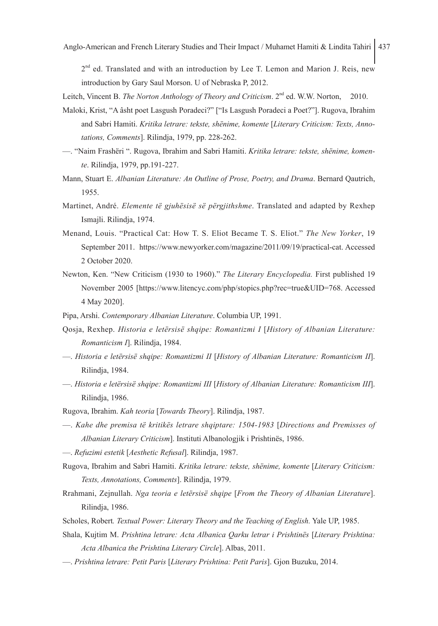$2<sup>nd</sup>$  ed. Translated and with an introduction by Lee T. Lemon and Marion J. Reis, new introduction by Gary Saul Morson. U of Nebraska P, 2012.

Leitch, Vincent B. *The Norton Anthology of Theory and Criticism*. 2<sup>nd</sup> ed. W.W. Norton, 2010.

- Maloki, Krist, "A âsht poet Lasgush Poradeci?" ["Is Lasgush Poradeci a Poet?"]. Rugova, Ibrahim and Sabri Hamiti. *Kritika letrare: tekste, shënime, komente* [*Literary Criticism: Texts, Annotations, Comments*]. Rilindja, 1979, pp. 228-262.
- —. "Naim Frashëri ". Rugova, Ibrahim and Sabri Hamiti. *Kritika letrare: tekste, shënime, komente*. Rilindja, 1979, pp.191-227.
- Mann, Stuart E. *Albanian Literature: An Outline of Prose, Poetry, and Drama*. Bernard Qautrich, 1955.
- Martinet, André. *Elemente të gjuhësisë së përgjithshme*. Translated and adapted by Rexhep Ismajli. Rilindja, 1974.
- Menand, Louis. "Practical Cat: How T. S. Eliot Became T. S. Eliot." *The New Yorker*, 19 September 2011. https://www.newyorker.com/magazine/2011/09/19/practical-cat. Accessed 2 October 2020.
- Newton, Ken. "New Criticism (1930 to 1960)." *The Literary Encyclopedia.* First published 19 November 2005 [https://www.litencyc.com/php/stopics.php?rec=true&UID=768. Accessed 4 May 2020].
- Pipa, Arshi. *Contemporary Albanian Literature*. Columbia UP, 1991.
- Qosja, Rexhep. *Historia e letërsisë shqipe: Romantizmi I* [*History of Albanian Literature: Romanticism I*]. Rilindja, 1984.
- —. *Historia e letërsisë shqipe: Romantizmi II* [*History of Albanian Literature: Romanticism II*]. Rilindja, 1984.
- —. *Historia e letërsisë shqipe: Romantizmi III* [*History of Albanian Literature: Romanticism III*]. Rilindja, 1986.
- Rugova, Ibrahim. *Kah teoria* [*Towards Theory*]. Rilindja, 1987.
- —. *Kahe dhe premisa të kritikës letrare shqiptare: 1504-1983* [*Directions and Premisses of Albanian Literary Criticism*]. Instituti Albanologjik i Prishtinës, 1986.
- —. *Refuzimi estetik* [*Aesthetic Refusal*]. Rilindja, 1987.
- Rugova, Ibrahim and Sabri Hamiti. *Kritika letrare: tekste, shënime, komente* [*Literary Criticism: Texts, Annotations, Comments*]. Rilindja, 1979.
- Rrahmani, Zejnullah. *Nga teoria e letërsisë shqipe* [*From the Theory of Albanian Literature*]. Rilindja, 1986.
- Scholes, Robert*. Textual Power: Literary Theory and the Teaching of English.* Yale UP, 1985.
- Shala, Kujtim M. *Prishtina letrare: Acta Albanica Qarku letrar i Prishtinës* [*Literary Prishtina: Acta Albanica the Prishtina Literary Circle*]. Albas, 2011.
- —. *Prishtina letrare: Petit Paris* [*Literary Prishtina: Petit Paris*]. Gjon Buzuku, 2014.